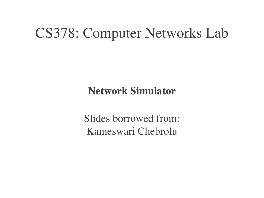### CS378: Computer Networks Lab

Network Simulator

Slides borrowed from: Kameswari Chebrolu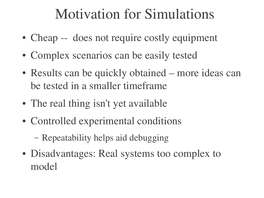### Motivation for Simulations

- Cheap -- does not require costly equipment
- Complex scenarios can be easily tested
- Results can be quickly obtained more ideas can be tested in a smaller timeframe
- The real thing isn't yet available
- Controlled experimental conditions
	- Repeatability helps aid debugging
- Disadvantages: Real systems too complex to model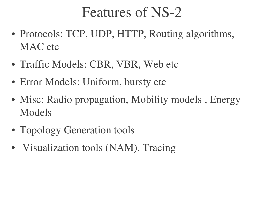### Features of NS-2

- Protocols: TCP, UDP, HTTP, Routing algorithms, MAC etc
- Traffic Models: CBR, VBR, Web etc
- Error Models: Uniform, bursty etc
- Misc: Radio propagation, Mobility models, Energy Models
- Topology Generation tools
- Visualization tools (NAM), Tracing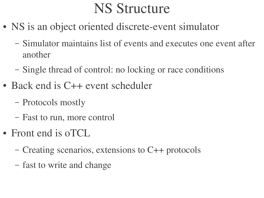### NS Structure

- NS is an object oriented discrete-event simulator
	- Simulator maintains list of events and executes one event after another
	- Single thread of control: no locking or race conditions
- Back end is C++ event scheduler
	- Protocols mostly
	- Fast to run, more control
- Front end is oTCL
	- Creating scenarios, extensions to C++ protocols
	- fast to write and change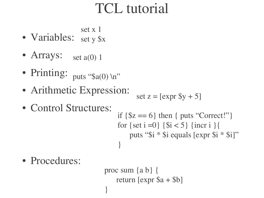# TCL tutorial

set x 1

- Variables: set y \$x
- Arrays: set a(0) 1
- Printing: puts "\$a(0) \n"
- Arithmetic Expression:

$$
\text{set } z = [\text{expr } \$y + 5]
$$

• Control Structures:

if 
$$
\{\$z == 6\}
$$
 then { puts "Correct!"}  
for  $\{set\ i = 0\}$   $\{\$i < 5\}$  {incr i }  
puts "\$i \* \$i equals [expr \$i \* \$i]"  
}

• Procedures:

```
proc sum {a b} {
   return [expr $a + $b]
}
```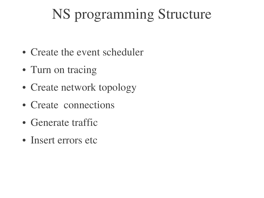# NS programming Structure

- Create the event scheduler
- Turn on tracing
- Create network topology
- Create connections
- Generate traffic
- Insert errors etc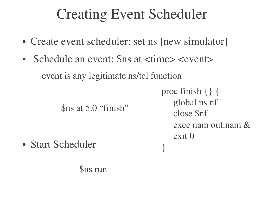# Creating Event Scheduler

- Create event scheduler: set ns [new simulator]
- Schedule an event: Sns at  $\langle$  time $\rangle$   $\langle$  event $\rangle$

– event is any legitimate ns/tcl function

\$ns at 5.0 "finish"

proc finish {} { global ns nf close \$nf exec nam out.nam & exit 0

}

• Start Scheduler

\$ns run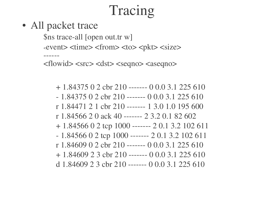# Tracing

• All packet trace

\$ns trace-all [open out.tr w]  $\langle$  event $>$   $\langle$  time $>$   $\langle$  from $>$   $\langle$  to $>$   $\langle$   $\rangle$   $\langle$  size $>$ ------

 $\langle$  <flowid>  $\langle$  src $\rangle$   $\langle$  dst $\rangle$   $\langle$  seqno $\rangle$   $\langle$  aseqno $\rangle$ 

 $+ 1.84375$  0 2 cbr 210 ------- 0 0.0 3.1 225 610  $-1.84375$  0 2 cbr 210 ------- 0 0.0 3.1 225 610 r 1.84471 2 1 cbr 210 ------- 1 3.0 1.0 195 600 r 1.84566 2 0 ack 40 ------- 2 3.2 0.1 82 602  $+ 1.8456602$  tcp 1000 ------- 2 0.1 3.2 102 611  $-1.8456602$  tcp 1000 ------- 20.1 3.2 102 611 r  $1.84609$  0 2 cbr  $210$  ------- 0 0.0 3.1 225 610  $+ 1.84609$  2 3 cbr 210 ------- 0 0.0 3.1 225 610 d 1.84609 2 3 cbr 210 ------- 0 0.0 3.1 225 610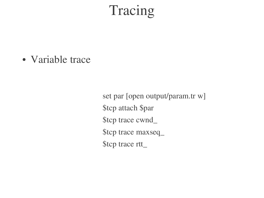### Tracing

• Variable trace

set par [open output/param.tr w] \$tcp attach \$par \$tcp trace cwnd\_ \$tcp trace maxseq\_ \$tcp trace rtt\_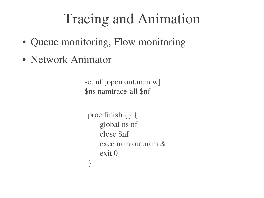# Tracing and Animation

- Queue monitoring, Flow monitoring
- Network Animator

set nf [open out.nam w] \$ns namtrace-all \$nf

```
proc finish {} {
   global ns nf
   close $nf
   exec nam out.nam &
   exit 0
}
```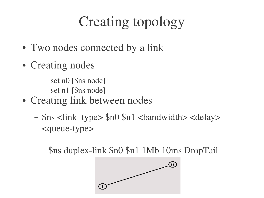# Creating topology

- Two nodes connected by a link
- Creating nodes

set n0 [\$ns node] set n1 [\$ns node]

- Creating link between nodes
	- \$ns <link\_type> \$n0 \$n1 <bandwidth> <delay> <queue-type>

\$ns duplex-link \$n0 \$n1 1Mb 10ms DropTail

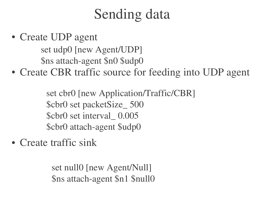# Sending data

• Create UDP agent

set udp0 [new Agent/UDP] \$ns attach-agent \$n0 \$udp0

• Create CBR traffic source for feeding into UDP agent

set cbr0 [new Application/Traffic/CBR] \$cbr0 set packetSize\_ 500 \$cbr0 set interval\_ 0.005 \$cbr0 attach-agent \$udp0

• Create traffic sink

set null0 [new Agent/Null] \$ns attach-agent \$n1 \$null0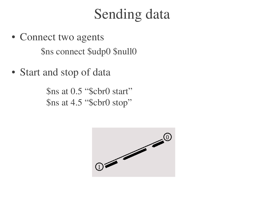### Sending data

- Connect two agents \$ns connect \$udp0 \$null0
- Start and stop of data

\$ns at 0.5 "\$cbr0 start" \$ns at 4.5 "\$cbr0 stop"

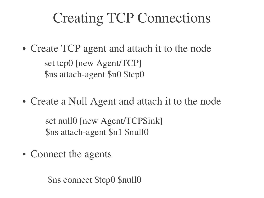# Creating TCP Connections

- Create TCP agent and attach it to the node set tcp0 [new Agent/TCP] \$ns attach-agent \$n0 \$tcp0
- Create a Null Agent and attach it to the node

set null0 [new Agent/TCPSink] \$ns attach-agent \$n1 \$null0

• Connect the agents

\$ns connect \$tcp0 \$null0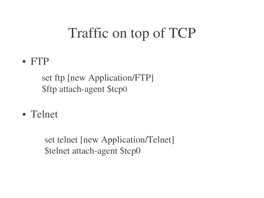# Traffic on top of TCP

● FTP

set ftp [new Application/FTP] \$ftp attach-agent \$tcp0

• Telnet

set telnet [new Application/Telnet] \$telnet attach-agent \$tcp0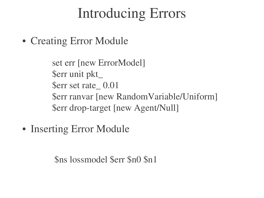# Introducing Errors

• Creating Error Module

set err [new ErrorModel] \$err unit pkt\_ \$err set rate\_ 0.01 \$err ranvar [new RandomVariable/Uniform] \$err drop-target [new Agent/Null]

• Inserting Error Module

\$ns lossmodel \$err \$n0 \$n1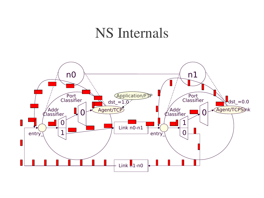#### NS Internals

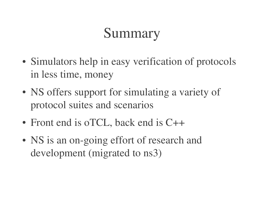# Summary

- Simulators help in easy verification of protocols in less time, money
- NS offers support for simulating a variety of protocol suites and scenarios
- Front end is oTCL, back end is C++
- NS is an on-going effort of research and development (migrated to ns3)